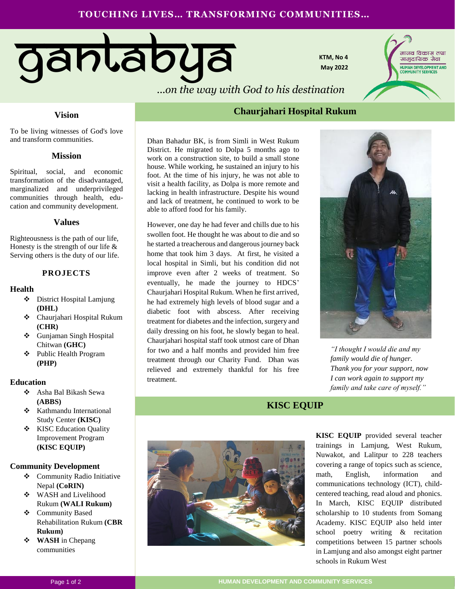# **TOUCHING LIVES… TRANSFORMING COMMUNITIES…**



**KTM, No 4 May 2022**



## **Vision**

To be living witnesses of God's love and transform communities.

### **Mission**

Spiritual, social, and economic transformation of the disadvantaged, marginalized and underprivileged communities through health, education and community development.

### **Values**

Righteousness is the path of our life, Honesty is the strength of our life  $\&$ Serving others is the duty of our life.

### **PROJECTS**

#### **Health**

- District Hospital Lamjung **(DHL)**
- Chaurjahari Hospital Rukum **(CHR)**
- Gunjaman Singh Hospital Chitwan **(GHC)**
- Public Health Program **(PHP)**

#### **Education**

- Asha Bal Bikash Sewa **(ABBS)**
- **❖** Kathmandu International Study Center **(KISC)**
- **❖** KISC Education Quality Improvement Program **(KISC EQUIP)**

#### **Community Development**

- Community Radio Initiative Nepal **(CoRIN)**
- WASH and Livelihood Rukum **(WALI Rukum)**
- Community Based Rehabilitation Rukum **(CBR Rukum)**
- **WASH** in Chepang communities

# **Chaurjahari Hospital Rukum**

Dhan Bahadur BK, is from Simli in West Rukum District. He migrated to Dolpa 5 months ago to work on a construction site, to build a small stone house. While working, he sustained an injury to his foot. At the time of his injury, he was not able to visit a health facility, as Dolpa is more remote and lacking in health infrastructure. Despite his wound and lack of treatment, he continued to work to be able to afford food for his family.

However, one day he had fever and chills due to his swollen foot. He thought he was about to die and so he started a treacherous and dangerous journey back home that took him 3 days. At first, he visited a local hospital in Simli, but his condition did not improve even after 2 weeks of treatment. So eventually, he made the journey to HDCS' Chaurjahari Hospital Rukum. When he first arrived, he had extremely high levels of blood sugar and a diabetic foot with abscess. After receiving treatment for diabetes and the infection, surgery and daily dressing on his foot, he slowly began to heal. Chaurjahari hospital staff took utmost care of Dhan for two and a half months and provided him free treatment through our Charity Fund. Dhan was relieved and extremely thankful for his free treatment.



*"I thought I would die and my family would die of hunger. Thank you for your support, now I can work again to support my family and take care of myself."*

## **KISC EQUIP**



**KISC EQUIP** provided several teacher trainings in Lamjung, West Rukum, Nuwakot, and Lalitpur to 228 teachers covering a range of topics such as science, math, English, information and communications technology (ICT), childcentered teaching, read aloud and phonics. In March, KISC EQUIP distributed scholarship to 10 students from Somang Academy. KISC EQUIP also held inter school poetry writing & recitation competitions between 15 partner schools in Lamjung and also amongst eight partner schools in Rukum West